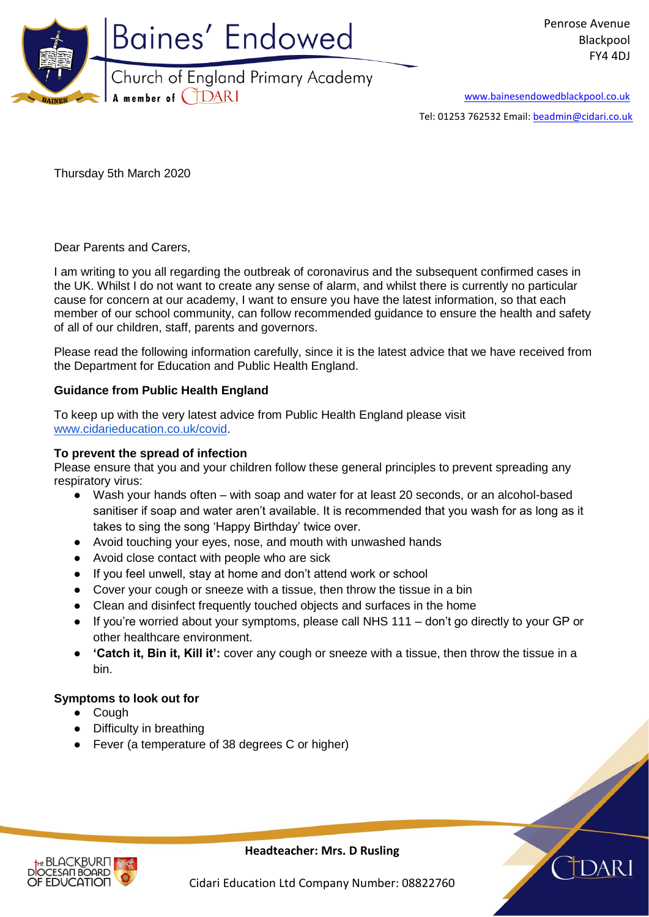

[www.bainesendowedblackpool.co.uk](http://www.bainesendowedblackpool.co.uk/)

Tel: 01253 762532 Email: [beadmin@cidari.co.uk](mailto:beadmin@cidari.co.uk)

Thursday 5th March 2020

Dear Parents and Carers,

I am writing to you all regarding the outbreak of coronavirus and the subsequent confirmed cases in the UK. Whilst I do not want to create any sense of alarm, and whilst there is currently no particular cause for concern at our academy, I want to ensure you have the latest information, so that each member of our school community, can follow recommended guidance to ensure the health and safety of all of our children, staff, parents and governors.

Please read the following information carefully, since it is the latest advice that we have received from the Department for Education and Public Health England.

## **Guidance from Public Health England**

To keep up with the very latest advice from Public Health England please visit [www.cidarieducation.co.uk/covid.](http://www.cidarieducation.co.uk/covid)

## **To prevent the spread of infection**

Please ensure that you and your children follow these general principles to prevent spreading any respiratory virus:

- Wash your hands often with soap and water for at least 20 seconds, or an alcohol-based sanitiser if soap and water aren't available. It is recommended that you wash for as long as it takes to sing the song 'Happy Birthday' twice over.
- Avoid touching your eyes, nose, and mouth with unwashed hands
- Avoid close contact with people who are sick
- If you feel unwell, stay at home and don't attend work or school
- Cover your cough or sneeze with a tissue, then throw the tissue in a bin
- Clean and disinfect frequently touched objects and surfaces in the home
- If you're worried about your symptoms, please call NHS 111 don't go directly to your GP or other healthcare environment.
- **'Catch it, Bin it, Kill it':** cover any cough or sneeze with a tissue, then throw the tissue in a bin.

## **Symptoms to look out for**

- Cough
- Difficulty in breathing
- Fever (a temperature of 38 degrees C or higher)



**Headteacher: Mrs. D Rusling**

Cidari Education Ltd Company Number: 08822760